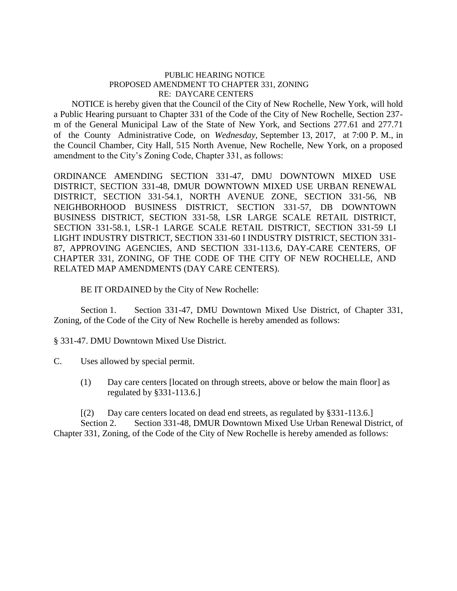## PUBLIC HEARING NOTICE PROPOSED AMENDMENT TO CHAPTER 331, ZONING RE: DAYCARE CENTERS

 NOTICE is hereby given that the Council of the City of New Rochelle, New York, will hold a Public Hearing pursuant to Chapter 331 of the Code of the City of New Rochelle, Section 237 m of the General Municipal Law of the State of New York, and Sections 277.61 and 277.71 of the County Administrative Code, on *Wednesday*, September 13, 2017, at 7:00 P. M., in the Council Chamber, City Hall, 515 North Avenue, New Rochelle, New York, on a proposed amendment to the City's Zoning Code, Chapter 331, as follows:

ORDINANCE AMENDING SECTION 331-47, DMU DOWNTOWN MIXED USE DISTRICT, SECTION 331-48, DMUR DOWNTOWN MIXED USE URBAN RENEWAL DISTRICT, SECTION 331-54.1, NORTH AVENUE ZONE, SECTION 331-56, NB NEIGHBORHOOD BUSINESS DISTRICT, SECTION 331-57, DB DOWNTOWN BUSINESS DISTRICT, SECTION 331-58, LSR LARGE SCALE RETAIL DISTRICT, SECTION 331-58.1, LSR-1 LARGE SCALE RETAIL DISTRICT, SECTION 331-59 LI LIGHT INDUSTRY DISTRICT, SECTION 331-60 I INDUSTRY DISTRICT, SECTION 331- 87, APPROVING AGENCIES, AND SECTION 331-113.6, DAY-CARE CENTERS, OF CHAPTER 331, ZONING, OF THE CODE OF THE CITY OF NEW ROCHELLE, AND RELATED MAP AMENDMENTS (DAY CARE CENTERS).

BE IT ORDAINED by the City of New Rochelle:

Section 1. Section 331-47, DMU Downtown Mixed Use District, of Chapter 331, Zoning, of the Code of the City of New Rochelle is hereby amended as follows:

§ 331-47. DMU Downtown Mixed Use District.

C. Uses allowed by special permit.

(1) Day care centers [located on through streets, above or below the main floor] as regulated by §331-113.6.]

[(2) Day care centers located on dead end streets, as regulated by §331-113.6.] Section 2. Section 331-48, DMUR Downtown Mixed Use Urban Renewal District, of Chapter 331, Zoning, of the Code of the City of New Rochelle is hereby amended as follows: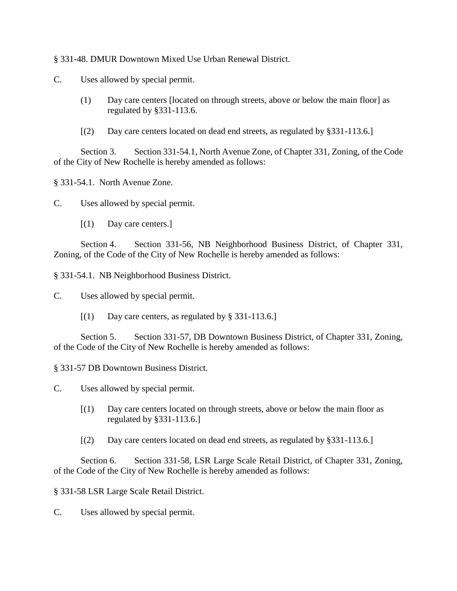§ 331-48. DMUR Downtown Mixed Use Urban Renewal District.

C. Uses allowed by special permit.

- (1) Day care centers [located on through streets, above or below the main floor] as regulated by §331-113.6.
- [(2) Day care centers located on dead end streets, as regulated by §331-113.6.]

Section 3. Section 331-54.1, North Avenue Zone, of Chapter 331, Zoning, of the Code of the City of New Rochelle is hereby amended as follows:

§ 331-54.1. North Avenue Zone.

C. Uses allowed by special permit.

[(1) Day care centers.]

Section 4. Section 331-56, NB Neighborhood Business District, of Chapter 331, Zoning, of the Code of the City of New Rochelle is hereby amended as follows:

§ 331-54.1. NB Neighborhood Business District.

C. Uses allowed by special permit.

 $[(1)$  Day care centers, as regulated by § 331-113.6.]

Section 5. Section 331-57, DB Downtown Business District, of Chapter 331, Zoning, of the Code of the City of New Rochelle is hereby amended as follows:

§ 331-57 DB Downtown Business District.

C. Uses allowed by special permit.

- [(1) Day care centers located on through streets, above or below the main floor as regulated by §331-113.6.]
- [(2) Day care centers located on dead end streets, as regulated by §331-113.6.]

Section 6. Section 331-58, LSR Large Scale Retail District, of Chapter 331, Zoning, of the Code of the City of New Rochelle is hereby amended as follows:

§ 331-58 LSR Large Scale Retail District.

C. Uses allowed by special permit.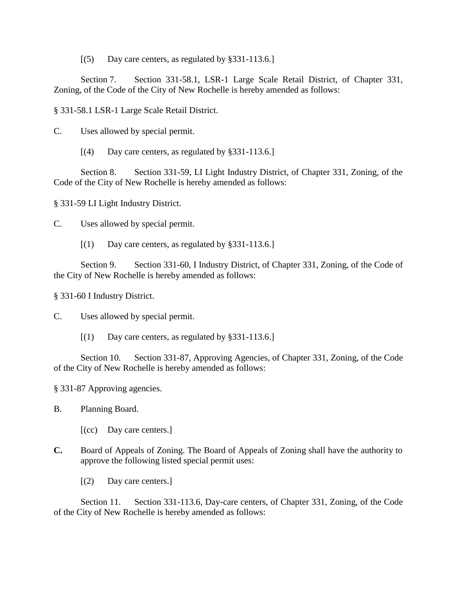[(5) Day care centers, as regulated by §331-113.6.]

Section 7. Section 331-58.1, LSR-1 Large Scale Retail District, of Chapter 331, Zoning, of the Code of the City of New Rochelle is hereby amended as follows:

§ 331-58.1 LSR-1 Large Scale Retail District.

C. Uses allowed by special permit.

[(4) Day care centers, as regulated by §331-113.6.]

Section 8. Section 331-59, LI Light Industry District, of Chapter 331, Zoning, of the Code of the City of New Rochelle is hereby amended as follows:

§ 331-59 LI Light Industry District.

C. Uses allowed by special permit.

[(1) Day care centers, as regulated by §331-113.6.]

Section 9. Section 331-60, I Industry District, of Chapter 331, Zoning, of the Code of the City of New Rochelle is hereby amended as follows:

§ 331-60 I Industry District.

C. Uses allowed by special permit.

 $[(1)$  Day care centers, as regulated by §331-113.6.]

Section 10. Section 331-87, Approving Agencies, of Chapter 331, Zoning, of the Code of the City of New Rochelle is hereby amended as follows:

§ 331-87 Approving agencies.

B. Planning Board.

- [(cc) Day care centers.]
- **C.** Board of Appeals of Zoning. The Board of Appeals of Zoning shall have the authority to approve the following listed special permit uses:
	- [(2) Day care centers.]

Section 11. Section 331-113.6, Day-care centers, of Chapter 331, Zoning, of the Code of the City of New Rochelle is hereby amended as follows: